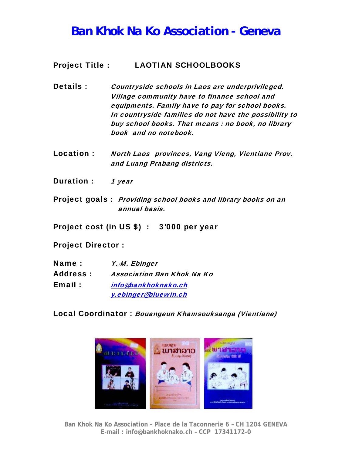## *Ban Khok Na Ko Association - Geneva*

## Project Title : LAOTIAN SCHOOLBOOKS

Details : Countryside schools in Laos are underprivileged. Village community have to finance school and equipments. Family have to pay for school books. In countryside families do not have the possibility to buy school books. That means : no book, no library book and no notebook.

- Location : North Laos provinces, Vang Vieng, Vientiane Prov. and Luang Prabang districts.
- Duration : 1 year
- Project goals : Providing school books and library books on an annual basis.

Project cost (in US \$) : 3'000 per year

Project Director :

| Name:           | Y.-M. Ebinger                     |
|-----------------|-----------------------------------|
| <b>Address:</b> | <b>Association Ban Khok Na Ko</b> |
| Email:          | info@bankhoknako.ch               |
|                 | y.ebinger@bluewin.ch              |

Local Coordinator : Bouangeun Khamsouksanga (Vientiane)



**Ban Khok Na Ko Association – Place de la Taconnerie 6 – CH 1204 GENEVA E-mail : info@bankhoknako.ch – CCP 17341172-0**